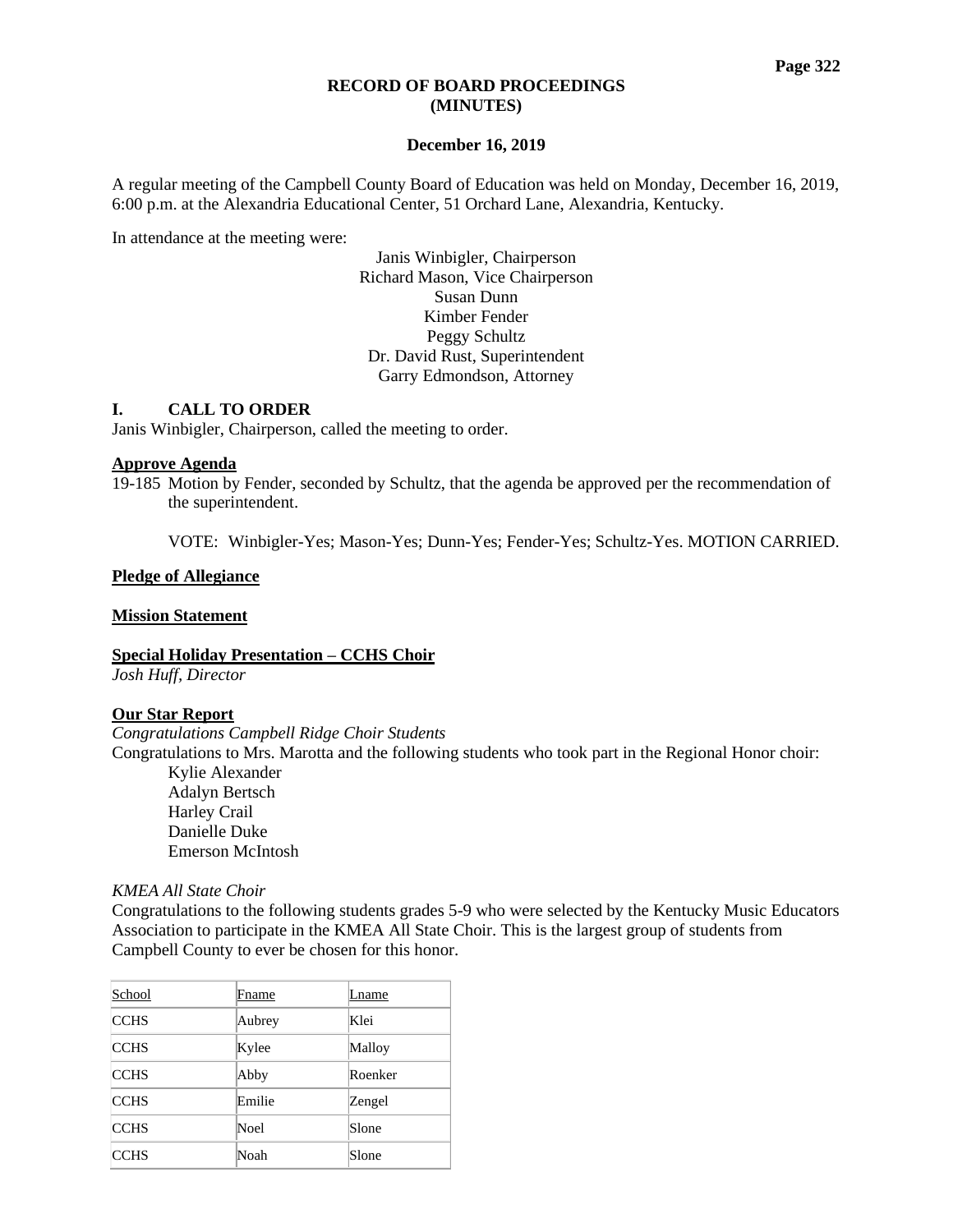#### **RECORD OF BOARD PROCEEDINGS (MINUTES)**

#### **December 16, 2019**

A regular meeting of the Campbell County Board of Education was held on Monday, December 16, 2019, 6:00 p.m. at the Alexandria Educational Center, 51 Orchard Lane, Alexandria, Kentucky.

In attendance at the meeting were:

Janis Winbigler, Chairperson Richard Mason, Vice Chairperson Susan Dunn Kimber Fender Peggy Schultz Dr. David Rust, Superintendent Garry Edmondson, Attorney

## **I. CALL TO ORDER**

Janis Winbigler, Chairperson, called the meeting to order.

#### **Approve Agenda**

19-185 Motion by Fender, seconded by Schultz, that the agenda be approved per the recommendation of the superintendent.

VOTE: Winbigler-Yes; Mason-Yes; Dunn-Yes; Fender-Yes; Schultz-Yes. MOTION CARRIED.

#### **Pledge of Allegiance**

#### **Mission Statement**

**Special Holiday Presentation – CCHS Choir** *Josh Huff, Director*

#### **Our Star Report**

*Congratulations Campbell Ridge Choir Students*

Congratulations to Mrs. Marotta and the following students who took part in the Regional Honor choir:

Kylie Alexander Adalyn Bertsch Harley Crail Danielle Duke Emerson McIntosh

#### *[KMEA All State Choir](https://www.campbellcountyschools.org/News/55311)*

Congratulations to the following students grades 5-9 who were selected by the Kentucky Music Educators Association to participate in the KMEA All State Choir. This is the largest group of students from Campbell County to ever be chosen for this honor.

| School      | Fname  | Lname   |
|-------------|--------|---------|
| <b>CCHS</b> | Aubrey | Klei    |
| <b>CCHS</b> | Kylee  | Malloy  |
| <b>CCHS</b> | Abby   | Roenker |
| <b>CCHS</b> | Emilie | Zengel  |
| <b>CCHS</b> | Noel   | Slone   |
| <b>CCHS</b> | Noah   | Slone   |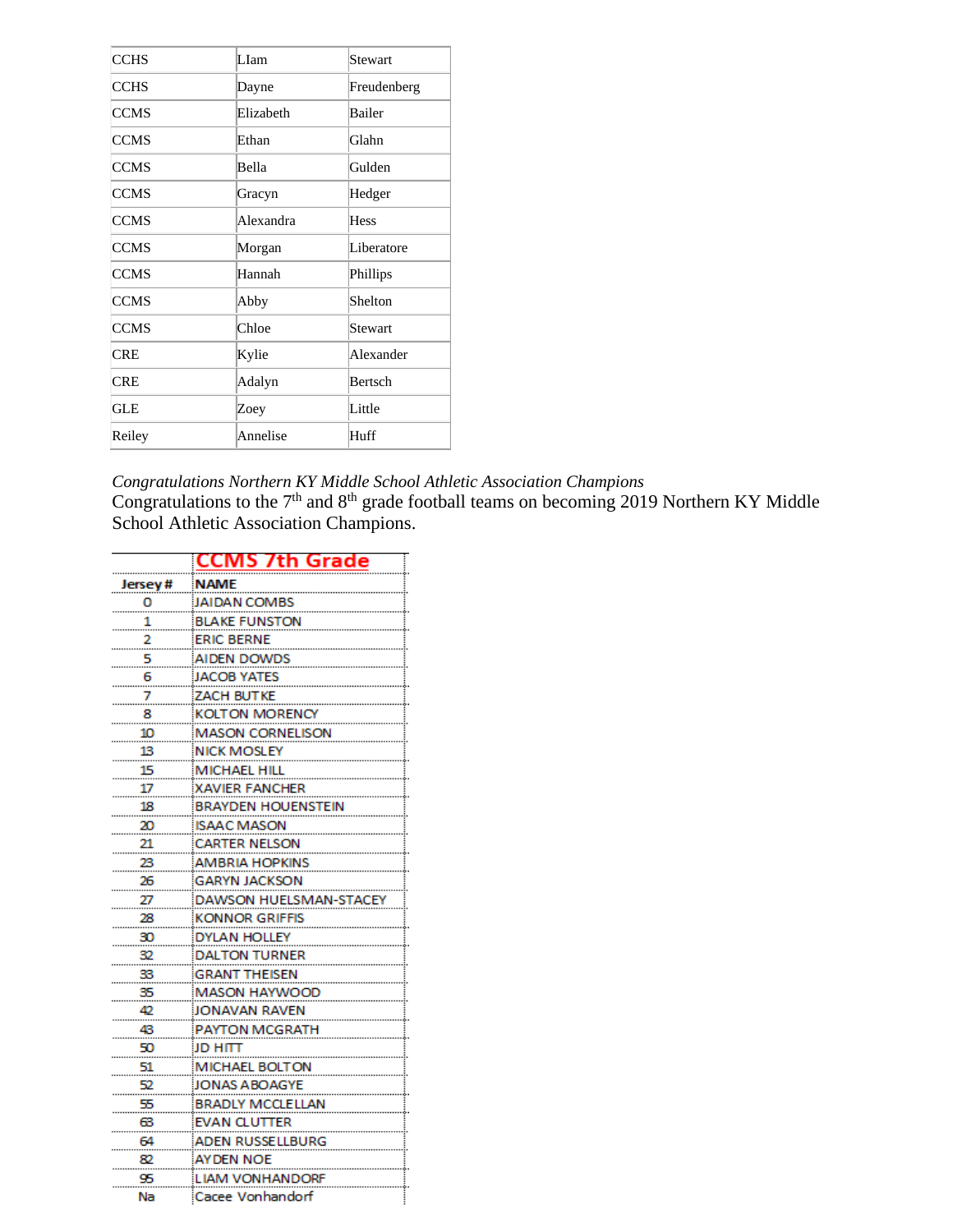| LIam      | Stewart     |
|-----------|-------------|
| Dayne     | Freudenberg |
| Elizabeth | Bailer      |
| Ethan     | Glahn       |
| Bella     | Gulden      |
| Gracyn    | Hedger      |
| Alexandra | <b>Hess</b> |
| Morgan    | Liberatore  |
| Hannah    | Phillips    |
| Abby      | Shelton     |
| Chloe     | Stewart     |
| Kylie     | Alexander   |
| Adalyn    | Bertsch     |
| Zoey      | Little      |
| Annelise  | Huff        |
|           |             |

*Congratulations Northern KY Middle School Athletic Association Champions*

Congratulations to the  $7<sup>th</sup>$  and  $8<sup>th</sup>$  grade football teams on becoming 2019 Northern KY Middle School Athletic Association Champions.

|           | CMS                       |  |
|-----------|---------------------------|--|
| Jersey#   | <b>NAME</b>               |  |
| o         | <b>JAIDAN COMBS</b>       |  |
| 1         | <b>BLAKE FUNSTON</b>      |  |
| 2         | <b>ERIC BERNE</b>         |  |
| 5         | AIDEN DOWDS               |  |
| 6         | JACOB YATES               |  |
| 7         | ZACH BUTKE                |  |
| 8         | KOLTON MORENCY            |  |
| 10        | <b>MASON CORNELISON</b>   |  |
| 13        | <b>NICK MOSLEY</b>        |  |
| <u>15</u> | <b>MICHAEL HILL</b>       |  |
| 17        | <b>XAVIER FANCHER</b>     |  |
| 18        | <b>BRAYDEN HOUENSTEIN</b> |  |
| 20        | <b>ISAAC MASON</b>        |  |
| 21        | <b>CARTER NELSON</b>      |  |
| 23        | AMBRIA HOPKINS            |  |
| 26        | GARYN JACKSON             |  |
| 27        | DAWSON HUELSMAN-STACEY    |  |
| 28        | <b>KONNOR GRIFFIS</b>     |  |
| 30        | DYLAN HOLLEY              |  |
| 32        | DALTON TURNER             |  |
| 33        | <b>GRANT THEISEN</b>      |  |
| 35        | MASON HAYWOOD             |  |
| 42        | JONAVAN RAVEN             |  |
| 43        | <b>PAYTON MCGRATH</b>     |  |
| 50        | JD HITT                   |  |
| 51        | <b>MICHAEL BOLTON</b>     |  |
| 52        | JONAS ABOAGYE             |  |
| 55        | BRADLY MCCLELLAN          |  |
| ങ         | EVAN CLUTTER              |  |
| 64        | ADEN RUSSELLBURG          |  |
| 82        | ayden Noe                 |  |
| 95        | LIAM VONHANDORF           |  |
| Na        | Cacee Vonhandorf          |  |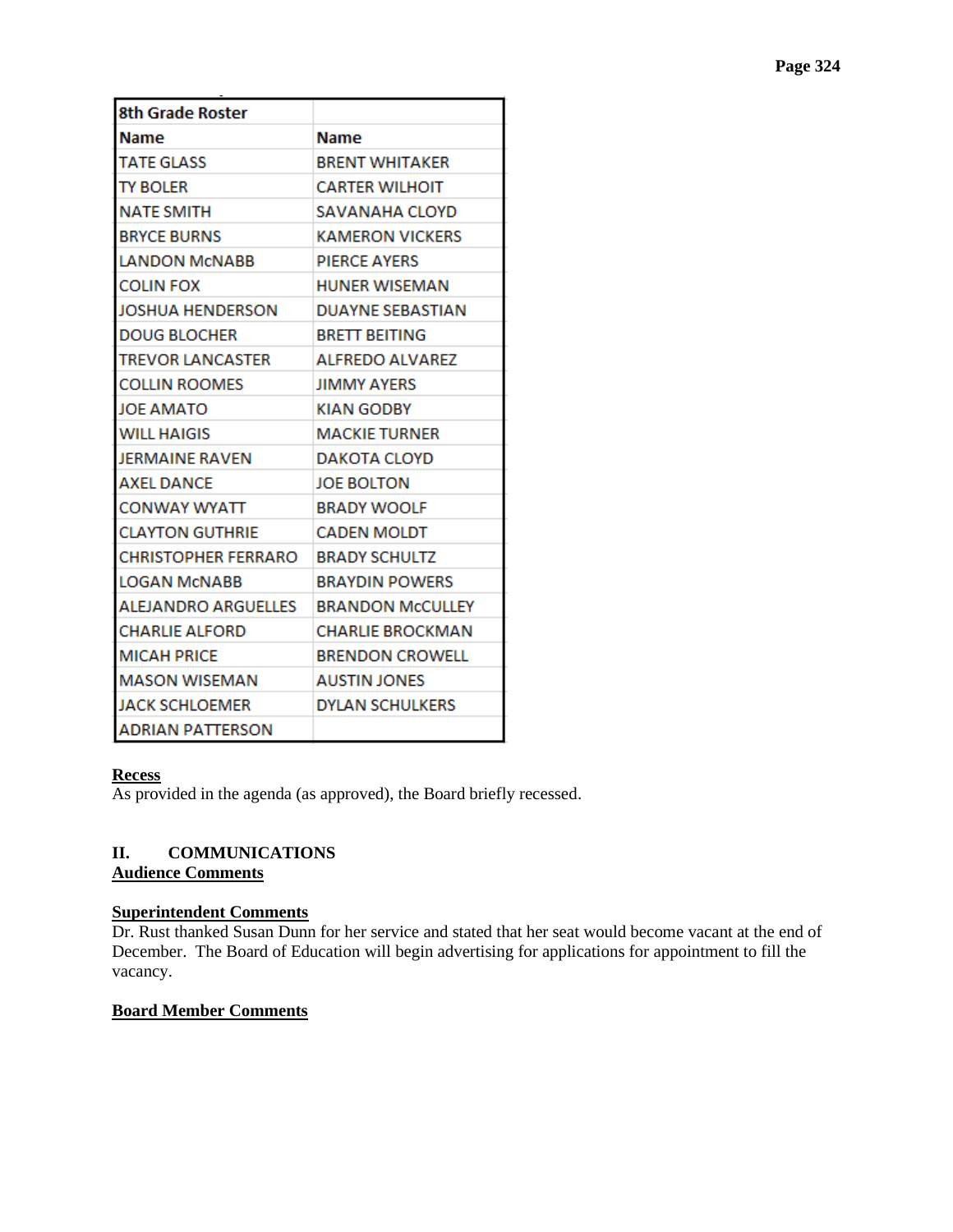| <b>8th Grade Roster</b>           |                         |
|-----------------------------------|-------------------------|
| <b>Name</b>                       | <b>Name</b>             |
| <b>TATE GLASS</b>                 | <b>BRENT WHITAKER</b>   |
| <b>TY BOLER</b>                   | <b>CARTER WILHOIT</b>   |
| NATE SMITH                        | SAVANAHA CLOYD          |
| <b>BRYCE BURNS</b>                | <b>KAMERON VICKERS</b>  |
| <b>LANDON MCNABB</b>              | <b>PIERCE AYERS</b>     |
| <b>COLIN FOX</b>                  | <b>HUNER WISEMAN</b>    |
| <b>JOSHUA HENDERSON</b>           | <b>DUAYNE SEBASTIAN</b> |
| <b>DOUG BLOCHER</b>               | <b>BRETT BEITING</b>    |
| <b>TREVOR LANCASTER</b>           | <b>ALFREDO ALVAREZ</b>  |
| <b>COLLIN ROOMES</b>              | <b>JIMMY AYERS</b>      |
| <b>JOE AMATO</b>                  | KIAN GODBY              |
| <b>WILL HAIGIS</b>                | <b>MACKIE TURNER</b>    |
| JERMAINE RAVEN                    | DAKOTA CLOYD            |
| <b>AXEL DANCE</b>                 | <b>JOE BOLTON</b>       |
| CONWAY WYATT                      | <b>BRADY WOOLF</b>      |
| <b>CLAYTON GUTHRIE</b>            | <b>CADEN MOLDT</b>      |
| CHRISTOPHER FERRARO BRADY SCHULTZ |                         |
| <b>LOGAN MCNABB</b>               | <b>BRAYDIN POWERS</b>   |
| ALEJANDRO ARGUELLES               | <b>BRANDON McCULLEY</b> |
| <b>CHARLIE ALFORD</b>             | <b>CHARLIE BROCKMAN</b> |
| <b>MICAH PRICE</b>                | <b>BRENDON CROWELL</b>  |
| <b>MASON WISEMAN</b>              | <b>AUSTIN JONES</b>     |
| <b>JACK SCHLOEMER</b>             | <b>DYLAN SCHULKERS</b>  |
| <b>ADRIAN PATTERSON</b>           |                         |

# **Recess**

As provided in the agenda (as approved), the Board briefly recessed.

# **II. COMMUNICATIONS Audience Comments**

# **Superintendent Comments**

Dr. Rust thanked Susan Dunn for her service and stated that her seat would become vacant at the end of December. The Board of Education will begin advertising for applications for appointment to fill the vacancy.

# **Board Member Comments**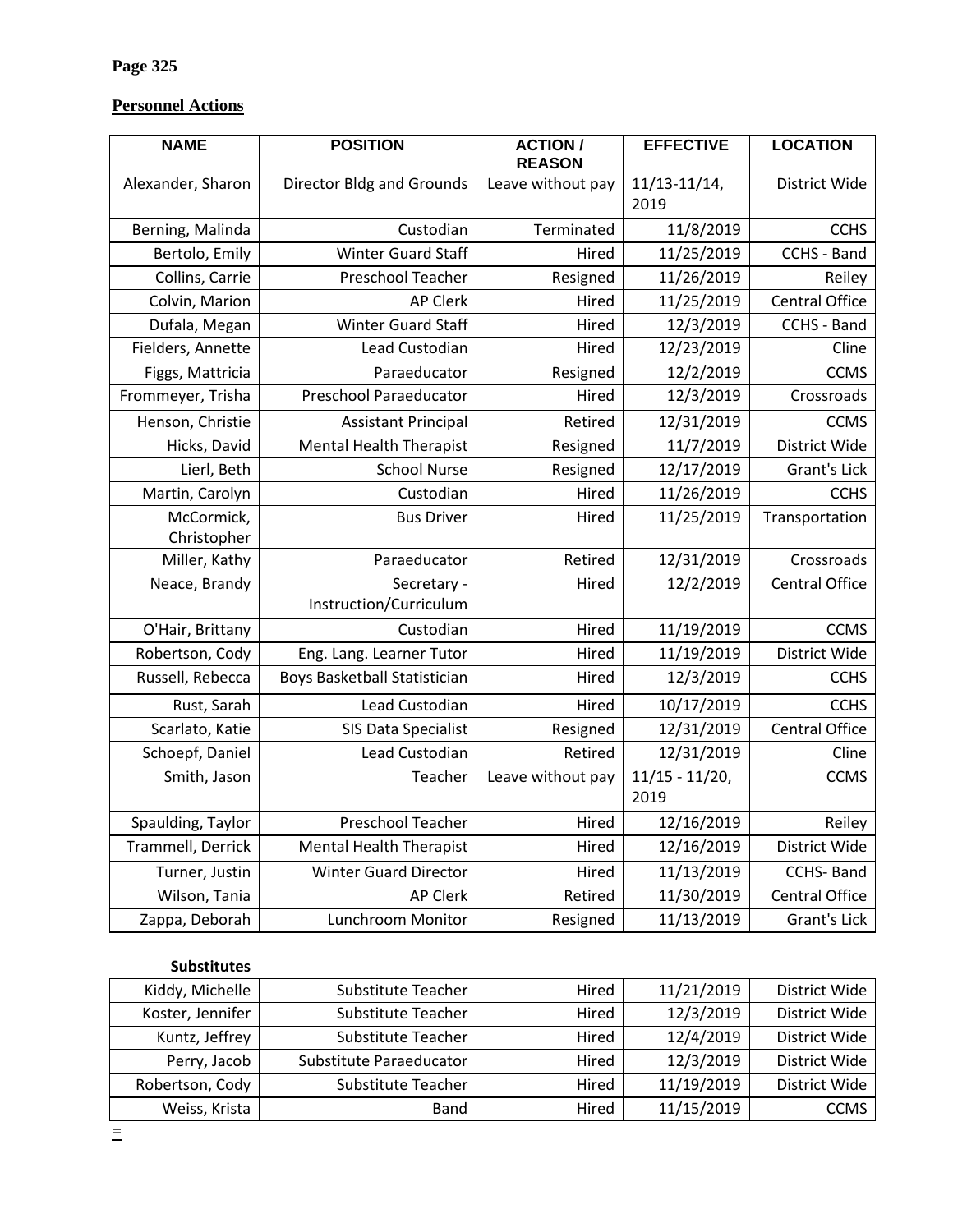# **Personnel Actions**

| <b>NAME</b>               | <b>POSITION</b>                       | <b>ACTION/</b><br><b>REASON</b> | <b>EFFECTIVE</b>          | <b>LOCATION</b>       |
|---------------------------|---------------------------------------|---------------------------------|---------------------------|-----------------------|
| Alexander, Sharon         | <b>Director Bldg and Grounds</b>      | Leave without pay               | $11/13 - 11/14$ ,<br>2019 | District Wide         |
| Berning, Malinda          | Custodian                             | Terminated                      | 11/8/2019                 | <b>CCHS</b>           |
| Bertolo, Emily            | <b>Winter Guard Staff</b>             | Hired                           | 11/25/2019                | CCHS - Band           |
| Collins, Carrie           | Preschool Teacher                     | Resigned                        | 11/26/2019                | Reiley                |
| Colvin, Marion            | <b>AP Clerk</b>                       | Hired                           | 11/25/2019                | <b>Central Office</b> |
| Dufala, Megan             | Winter Guard Staff                    | Hired                           | 12/3/2019                 | CCHS - Band           |
| Fielders, Annette         | Lead Custodian                        | Hired                           | 12/23/2019                | Cline                 |
| Figgs, Mattricia          | Paraeducator                          | Resigned                        | 12/2/2019                 | <b>CCMS</b>           |
| Frommeyer, Trisha         | <b>Preschool Paraeducator</b>         | Hired                           | 12/3/2019                 | Crossroads            |
| Henson, Christie          | <b>Assistant Principal</b>            | Retired                         | 12/31/2019                | <b>CCMS</b>           |
| Hicks, David              | <b>Mental Health Therapist</b>        | Resigned                        | 11/7/2019                 | District Wide         |
| Lierl, Beth               | <b>School Nurse</b>                   | Resigned                        | 12/17/2019                | Grant's Lick          |
| Martin, Carolyn           | Custodian                             | Hired                           | 11/26/2019                | <b>CCHS</b>           |
| McCormick,<br>Christopher | <b>Bus Driver</b>                     | Hired                           | 11/25/2019                | Transportation        |
| Miller, Kathy             | Paraeducator                          | Retired                         | 12/31/2019                | Crossroads            |
| Neace, Brandy             | Secretary -<br>Instruction/Curriculum | Hired                           | 12/2/2019                 | <b>Central Office</b> |
| O'Hair, Brittany          | Custodian                             | Hired                           | 11/19/2019                | <b>CCMS</b>           |
| Robertson, Cody           | Eng. Lang. Learner Tutor              | Hired                           | 11/19/2019                | District Wide         |
| Russell, Rebecca          | <b>Boys Basketball Statistician</b>   | Hired                           | 12/3/2019                 | <b>CCHS</b>           |
| Rust, Sarah               | Lead Custodian                        | Hired                           | 10/17/2019                | <b>CCHS</b>           |
| Scarlato, Katie           | SIS Data Specialist                   | Resigned                        | 12/31/2019                | <b>Central Office</b> |
| Schoepf, Daniel           | Lead Custodian                        | Retired                         | 12/31/2019                | Cline                 |
| Smith, Jason              | Teacher                               | Leave without pay               | $11/15 - 11/20$ ,<br>2019 | <b>CCMS</b>           |
| Spaulding, Taylor         | Preschool Teacher                     | Hired                           | 12/16/2019                | Reiley                |
| Trammell, Derrick         | <b>Mental Health Therapist</b>        | Hired                           | 12/16/2019                | District Wide         |
| Turner, Justin            | <b>Winter Guard Director</b>          | Hired                           | 11/13/2019                | <b>CCHS-Band</b>      |
| Wilson, Tania             | <b>AP Clerk</b>                       | Retired                         | 11/30/2019                | <b>Central Office</b> |
| Zappa, Deborah            | Lunchroom Monitor                     | Resigned                        | 11/13/2019                | Grant's Lick          |

# **Substitutes**

| Kiddy, Michelle  | Substitute Teacher        | Hired | 11/21/2019 | District Wide |
|------------------|---------------------------|-------|------------|---------------|
| Koster, Jennifer | Substitute Teacher        | Hired | 12/3/2019  | District Wide |
| Kuntz, Jeffrey   | <b>Substitute Teacher</b> | Hired | 12/4/2019  | District Wide |
| Perry, Jacob     | Substitute Paraeducator   | Hired | 12/3/2019  | District Wide |
| Robertson, Cody  | <b>Substitute Teacher</b> | Hired | 11/19/2019 | District Wide |
| Weiss, Krista    | Band                      | Hired | 11/15/2019 | <b>CCMS</b>   |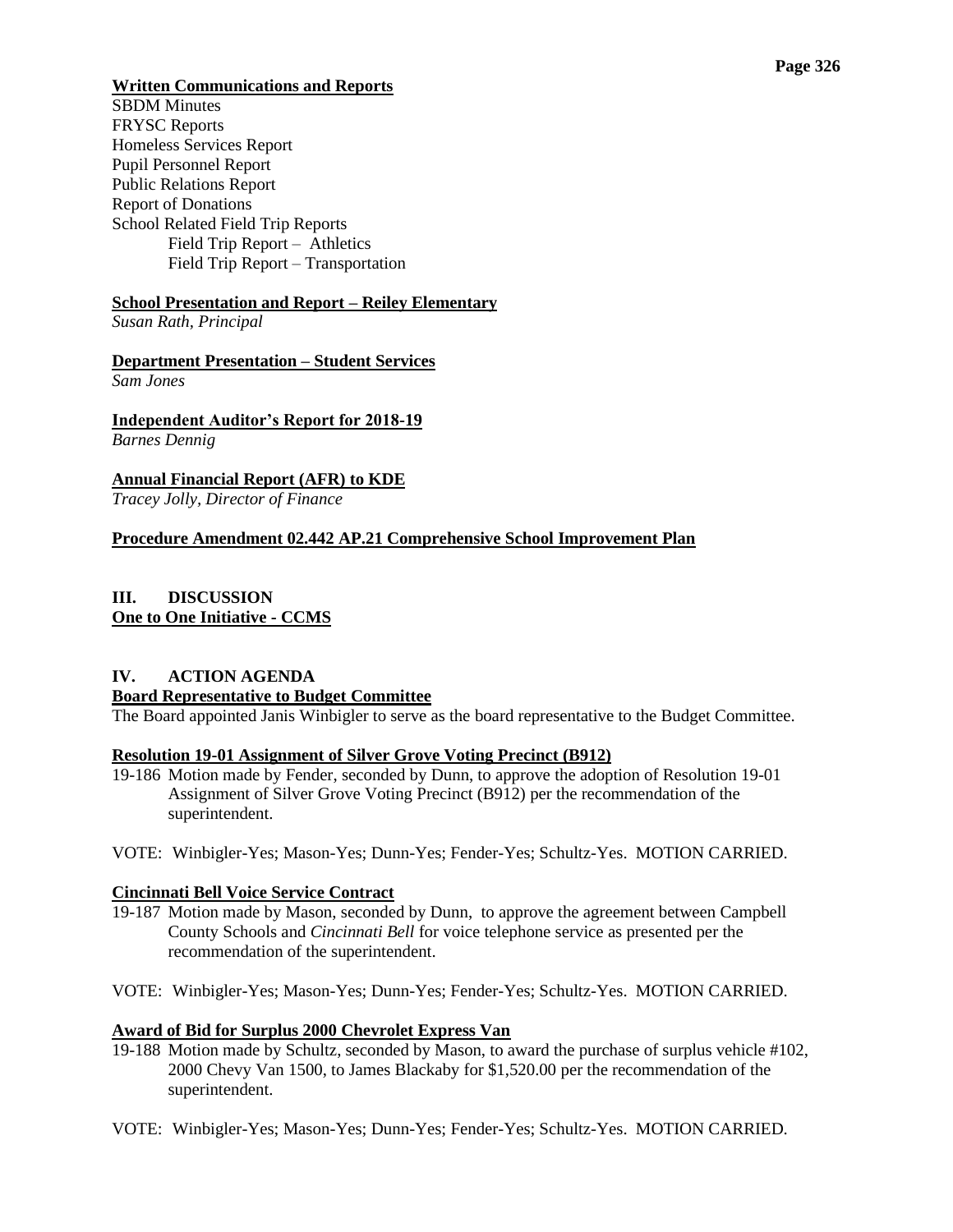#### **Page 326**

# **Written Communications and Reports**

SBDM Minutes FRYSC Reports Homeless Services Report Pupil Personnel Report Public Relations Report Report of Donations School Related Field Trip Reports Field Trip Report – Athletics Field Trip Report – Transportation

# **School Presentation and Report – Reiley Elementary**

*Susan Rath, Principal*

#### **Department Presentation – Student Services** *Sam Jones*

**Independent Auditor's Report for 2018-19** *Barnes Dennig*

**Annual Financial Report (AFR) to KDE** *Tracey Jolly, Director of Finance*

# **Procedure Amendment 02.442 AP.21 Comprehensive School Improvement Plan**

# **III. DISCUSSION One to One Initiative - CCMS**

## **IV. ACTION AGENDA Board Representative to Budget Committee**

The Board appointed Janis Winbigler to serve as the board representative to the Budget Committee.

# **Resolution 19-01 Assignment of Silver Grove Voting Precinct (B912)**

- 19-186 Motion made by Fender, seconded by Dunn, to approve the adoption of Resolution 19-01 Assignment of Silver Grove Voting Precinct (B912) per the recommendation of the superintendent.
- VOTE: Winbigler-Yes; Mason-Yes; Dunn-Yes; Fender-Yes; Schultz-Yes. MOTION CARRIED.

# **Cincinnati Bell Voice Service Contract**

- 19-187 Motion made by Mason, seconded by Dunn, to approve the agreement between Campbell County Schools and *Cincinnati Bell* for voice telephone service as presented per the recommendation of the superintendent.
- VOTE: Winbigler-Yes; Mason-Yes; Dunn-Yes; Fender-Yes; Schultz-Yes. MOTION CARRIED.

#### **Award of Bid for Surplus 2000 Chevrolet Express Van**

- 19-188 Motion made by Schultz, seconded by Mason, to award the purchase of surplus vehicle #102, 2000 Chevy Van 1500, to James Blackaby for \$1,520.00 per the recommendation of the superintendent.
- VOTE: Winbigler-Yes; Mason-Yes; Dunn-Yes; Fender-Yes; Schultz-Yes. MOTION CARRIED.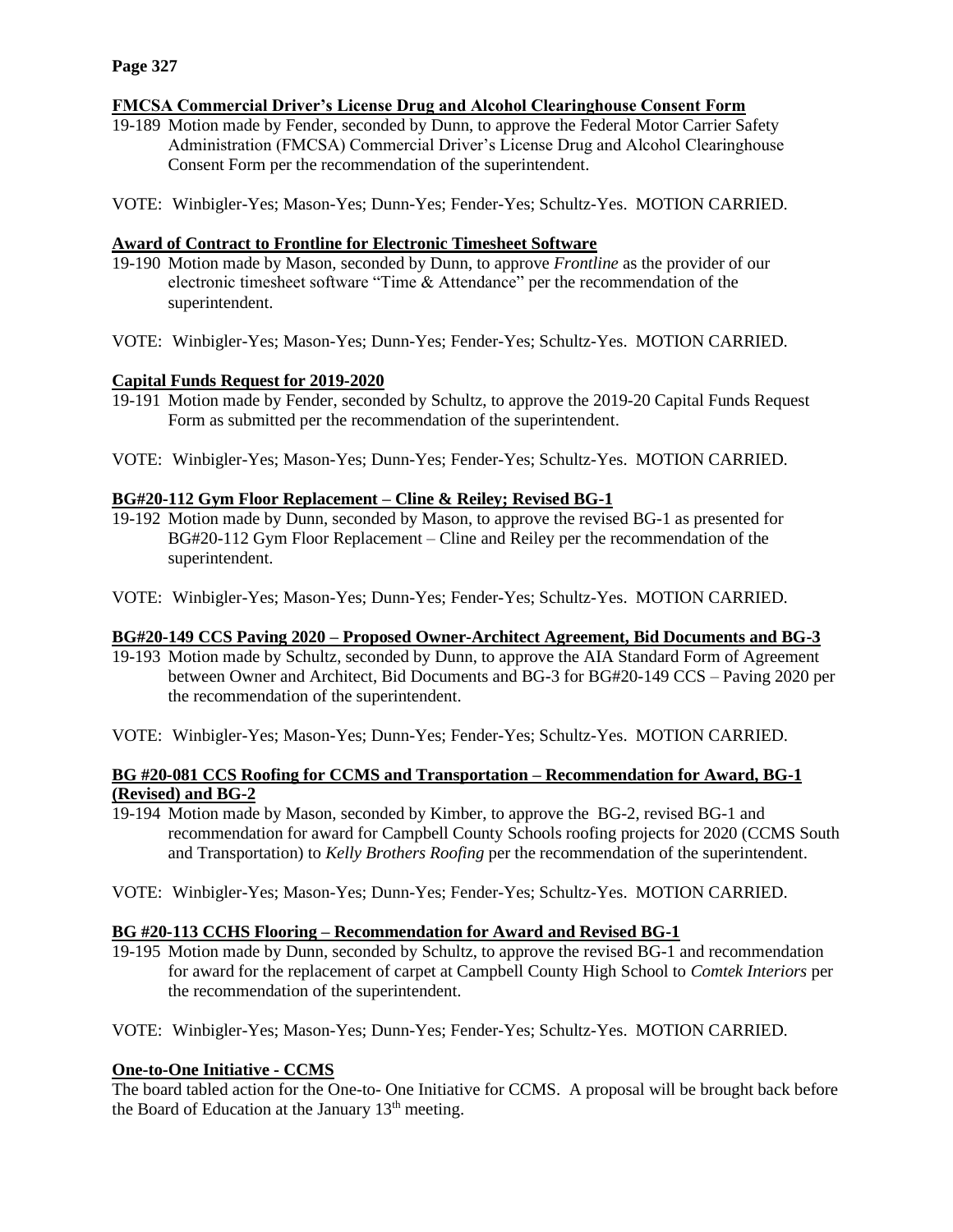# **FMCSA Commercial Driver's License Drug and Alcohol Clearinghouse Consent Form**

- 19-189 Motion made by Fender, seconded by Dunn, to approve the Federal Motor Carrier Safety Administration (FMCSA) Commercial Driver's License Drug and Alcohol Clearinghouse Consent Form per the recommendation of the superintendent.
- VOTE: Winbigler-Yes; Mason-Yes; Dunn-Yes; Fender-Yes; Schultz-Yes. MOTION CARRIED.

## **Award of Contract to Frontline for Electronic Timesheet Software**

- 19-190 Motion made by Mason, seconded by Dunn, to approve *Frontline* as the provider of our electronic timesheet software "Time & Attendance" per the recommendation of the superintendent.
- VOTE: Winbigler-Yes; Mason-Yes; Dunn-Yes; Fender-Yes; Schultz-Yes. MOTION CARRIED.

## **Capital Funds Request for 2019-2020**

- 19-191 Motion made by Fender, seconded by Schultz, to approve the 2019-20 Capital Funds Request Form as submitted per the recommendation of the superintendent.
- VOTE: Winbigler-Yes; Mason-Yes; Dunn-Yes; Fender-Yes; Schultz-Yes. MOTION CARRIED.

## **BG#20-112 Gym Floor Replacement – Cline & Reiley; Revised BG-1**

- 19-192 Motion made by Dunn, seconded by Mason, to approve the revised BG-1 as presented for BG#20-112 Gym Floor Replacement – Cline and Reiley per the recommendation of the superintendent.
- VOTE: Winbigler-Yes; Mason-Yes; Dunn-Yes; Fender-Yes; Schultz-Yes. MOTION CARRIED.

#### **BG#20-149 CCS Paving 2020 – Proposed Owner-Architect Agreement, Bid Documents and BG-3**

- 19-193 Motion made by Schultz, seconded by Dunn, to approve the AIA Standard Form of Agreement between Owner and Architect, Bid Documents and BG-3 for BG#20-149 CCS – Paving 2020 per the recommendation of the superintendent.
- VOTE: Winbigler-Yes; Mason-Yes; Dunn-Yes; Fender-Yes; Schultz-Yes. MOTION CARRIED.

# **BG #20-081 CCS Roofing for CCMS and Transportation – Recommendation for Award, BG-1 (Revised) and BG-2**

- 19-194 Motion made by Mason, seconded by Kimber, to approve the BG-2, revised BG-1 and recommendation for award for Campbell County Schools roofing projects for 2020 (CCMS South and Transportation) to *Kelly Brothers Roofing* per the recommendation of the superintendent.
- VOTE: Winbigler-Yes; Mason-Yes; Dunn-Yes; Fender-Yes; Schultz-Yes. MOTION CARRIED.

#### **BG #20-113 CCHS Flooring – Recommendation for Award and Revised BG-1**

19-195 Motion made by Dunn, seconded by Schultz, to approve the revised BG-1 and recommendation for award for the replacement of carpet at Campbell County High School to *Comtek Interiors* per the recommendation of the superintendent.

VOTE: Winbigler-Yes; Mason-Yes; Dunn-Yes; Fender-Yes; Schultz-Yes. MOTION CARRIED.

# **One-to-One Initiative - CCMS**

The board tabled action for the One-to- One Initiative for CCMS. A proposal will be brought back before the Board of Education at the January 13<sup>th</sup> meeting.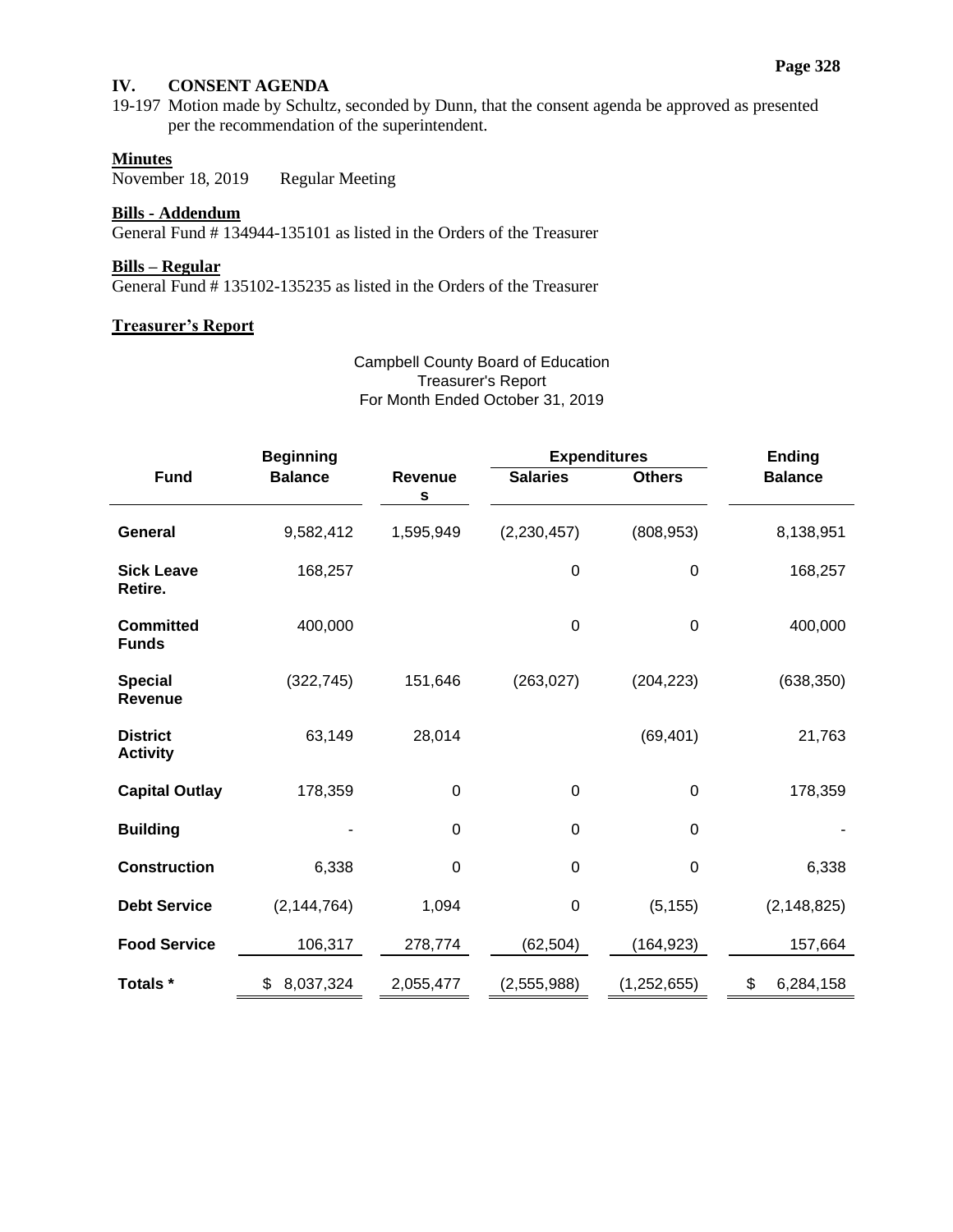#### **Page 328**

# **IV. CONSENT AGENDA**

19-197 Motion made by Schultz, seconded by Dunn, that the consent agenda be approved as presented per the recommendation of the superintendent.

# **Minutes**

November 18, 2019 Regular Meeting

# **Bills - Addendum**

General Fund # 134944-135101 as listed in the Orders of the Treasurer

## **Bills – Regular**

General Fund # 135102-135235 as listed in the Orders of the Treasurer

## **Treasurer's Report**

Campbell County Board of Education Treasurer's Report For Month Ended October 31, 2019

| <b>Beginning</b>                   |                 |              |                  | <b>Expenditures</b> | <b>Ending</b>   |
|------------------------------------|-----------------|--------------|------------------|---------------------|-----------------|
| <b>Fund</b>                        | <b>Balance</b>  | Revenue<br>s | <b>Salaries</b>  | <b>Others</b>       | <b>Balance</b>  |
| <b>General</b>                     | 9,582,412       | 1,595,949    | (2, 230, 457)    | (808, 953)          | 8,138,951       |
| <b>Sick Leave</b><br>Retire.       | 168,257         |              | $\boldsymbol{0}$ | $\mathbf 0$         | 168,257         |
| <b>Committed</b><br><b>Funds</b>   | 400,000         |              | $\mathbf 0$      | $\mathbf 0$         | 400,000         |
| <b>Special</b><br><b>Revenue</b>   | (322, 745)      | 151,646      | (263, 027)       | (204, 223)          | (638, 350)      |
| <b>District</b><br><b>Activity</b> | 63,149          | 28,014       |                  | (69, 401)           | 21,763          |
| <b>Capital Outlay</b>              | 178,359         | 0            | 0                | 0                   | 178,359         |
| <b>Building</b>                    |                 | $\mathbf 0$  | $\boldsymbol{0}$ | $\mathbf 0$         |                 |
| <b>Construction</b>                | 6,338           | $\mathbf 0$  | $\Omega$         | 0                   | 6,338           |
| <b>Debt Service</b>                | (2, 144, 764)   | 1,094        | $\mathbf 0$      | (5, 155)            | (2, 148, 825)   |
| <b>Food Service</b>                | 106,317         | 278,774      | (62, 504)        | (164, 923)          | 157,664         |
| Totals *                           | \$<br>8,037,324 | 2,055,477    | (2,555,988)      | (1, 252, 655)       | \$<br>6,284,158 |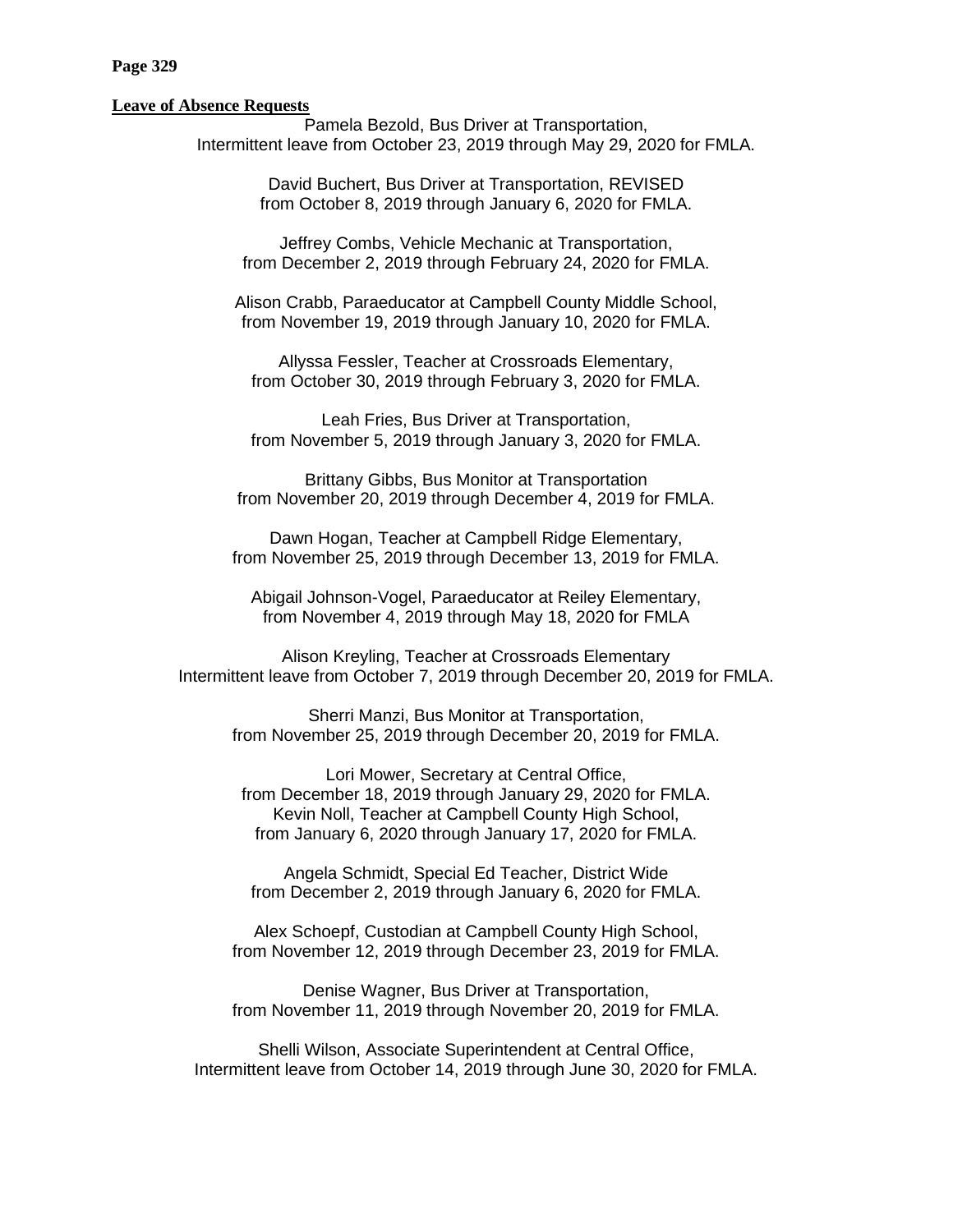#### **Page 329**

#### **Leave of Absence Requests**

Pamela Bezold, Bus Driver at Transportation, Intermittent leave from October 23, 2019 through May 29, 2020 for FMLA.

> David Buchert, Bus Driver at Transportation, REVISED from October 8, 2019 through January 6, 2020 for FMLA.

Jeffrey Combs, Vehicle Mechanic at Transportation, from December 2, 2019 through February 24, 2020 for FMLA.

Alison Crabb, Paraeducator at Campbell County Middle School, from November 19, 2019 through January 10, 2020 for FMLA.

Allyssa Fessler, Teacher at Crossroads Elementary, from October 30, 2019 through February 3, 2020 for FMLA.

Leah Fries, Bus Driver at Transportation, from November 5, 2019 through January 3, 2020 for FMLA.

Brittany Gibbs, Bus Monitor at Transportation from November 20, 2019 through December 4, 2019 for FMLA.

Dawn Hogan, Teacher at Campbell Ridge Elementary, from November 25, 2019 through December 13, 2019 for FMLA.

Abigail Johnson-Vogel, Paraeducator at Reiley Elementary, from November 4, 2019 through May 18, 2020 for FMLA

Alison Kreyling, Teacher at Crossroads Elementary Intermittent leave from October 7, 2019 through December 20, 2019 for FMLA.

Sherri Manzi, Bus Monitor at Transportation, from November 25, 2019 through December 20, 2019 for FMLA.

Lori Mower, Secretary at Central Office, from December 18, 2019 through January 29, 2020 for FMLA. Kevin Noll, Teacher at Campbell County High School, from January 6, 2020 through January 17, 2020 for FMLA.

Angela Schmidt, Special Ed Teacher, District Wide from December 2, 2019 through January 6, 2020 for FMLA.

Alex Schoepf, Custodian at Campbell County High School, from November 12, 2019 through December 23, 2019 for FMLA.

Denise Wagner, Bus Driver at Transportation, from November 11, 2019 through November 20, 2019 for FMLA.

Shelli Wilson, Associate Superintendent at Central Office, Intermittent leave from October 14, 2019 through June 30, 2020 for FMLA.